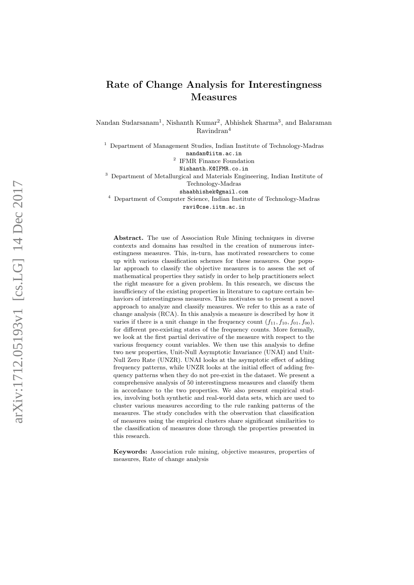# Rate of Change Analysis for Interestingness Measures

Nandan Sudarsanam<sup>1</sup>, Nishanth Kumar<sup>2</sup>, Abhishek Sharma<sup>3</sup>, and Balaraman Ravindran 4

<sup>1</sup> Department of Management Studies, Indian Institute of Technology-Madras

nandan@iitm.ac.in 2

IFMR Finance Foundation Nishanth.K@IFMR.co.in

<sup>3</sup> Department of Metallurgical and Materials Engineering, Indian Institute of

Technology-Madras

shaabhishek@gmail.com

<sup>4</sup> Department of Computer Science, Indian Institute of Technology-Madras

ravi@cse.iitm.ac.in

Abstract. The use of Association Rule Mining techniques in diverse contexts and domains has resulted in the creation of numerous interestingness measures. This, in-turn, has motivated researchers to come up with various classification schemes for these measures. One popular approach to classify the objective measures is to assess the set of mathematical properties they satisfy in order to help practitioners select the right measure for a given problem. In this research, we discuss the insufficiency of the existing properties in literature to capture certain behaviors of interestingness measures. This motivates us to present a novel approach to analyze and classify measures. We refer to this as a rate of change analysis (RCA). In this analysis a measure is described by how it varies if there is a unit change in the frequency count  $(f_{11}, f_{10}, f_{01}, f_{00})$ , for different pre-existing states of the frequency counts. More formally, we look at the first partial derivative of the measure with respect to the various frequency count variables. We then use this analysis to define two new properties, Unit-Null Asymptotic Invariance (UNAI) and Unit-Null Zero Rate (UNZR). UNAI looks at the asymptotic effect of adding frequency patterns, while UNZR looks at the initial effect of adding frequency patterns when they do not pre-exist in the dataset. We present a comprehensive analysis of 50 interestingness measures and classify them in accordance to the two properties. We also present empirical studies, involving both synthetic and real-world data sets, which are used to cluster various measures according to the rule ranking patterns of the measures. The study concludes with the observation that classification of measures using the empirical clusters share significant similarities to the classification of measures done through the properties presented in this research.

Keywords: Association rule mining, objective measures, properties of measures, Rate of change analysis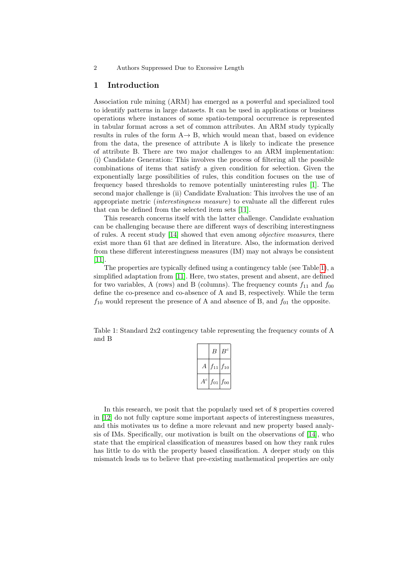## 1 Introduction

Association rule mining (ARM) has emerged as a powerful and specialized tool to identify patterns in large datasets. It can be used in applications or business operations where instances of some spatio-temporal occurrence is represented in tabular format across a set of common attributes. An ARM study typically results in rules of the form  $A \rightarrow B$ , which would mean that, based on evidence from the data, the presence of attribute A is likely to indicate the presence of attribute B. There are two major challenges to an ARM implementation: (i) Candidate Generation: This involves the process of filtering all the possible combinations of items that satisfy a given condition for selection. Given the exponentially large possibilities of rules, this condition focuses on the use of frequency based thresholds to remove potentially uninteresting rules [\[1\]](#page-16-0). The second major challenge is (ii) Candidate Evaluation: This involves the use of an appropriate metric (interestingness measure) to evaluate all the different rules that can be defined from the selected item sets [\[11\]](#page-17-0).

This research concerns itself with the latter challenge. Candidate evaluation can be challenging because there are different ways of describing interestingness of rules. A recent study [\[14\]](#page-17-1) showed that even among objective measures, there exist more than 61 that are defined in literature. Also, the information derived from these different interestingness measures (IM) may not always be consistent [\[11\]](#page-17-0).

The properties are typically defined using a contingency table (see Table [1\)](#page-1-0), a simplified adaptation from [\[11\]](#page-17-0). Here, two states, present and absent, are defined for two variables, A (rows) and B (columns). The frequency counts  $f_{11}$  and  $f_{00}$ define the co-presence and co-absence of A and B, respectively. While the term  $f_{10}$  would represent the presence of A and absence of B, and  $f_{01}$  the opposite.

<span id="page-1-0"></span>Table 1: Standard 2x2 contingency table representing the frequency counts of A and B

|                  | B                 | $B^c$ |
|------------------|-------------------|-------|
|                  | $f_{11}$ $f_{10}$ |       |
| $\boldsymbol{c}$ | $f_{01}$ $f_{00}$ |       |

In this research, we posit that the popularly used set of 8 properties covered in [\[12\]](#page-17-2) do not fully capture some important aspects of interestingness measures, and this motivates us to define a more relevant and new property based analysis of IMs. Specifically, our motivation is built on the observations of [\[14\]](#page-17-1), who state that the empirical classification of measures based on how they rank rules has little to do with the property based classification. A deeper study on this mismatch leads us to believe that pre-existing mathematical properties are only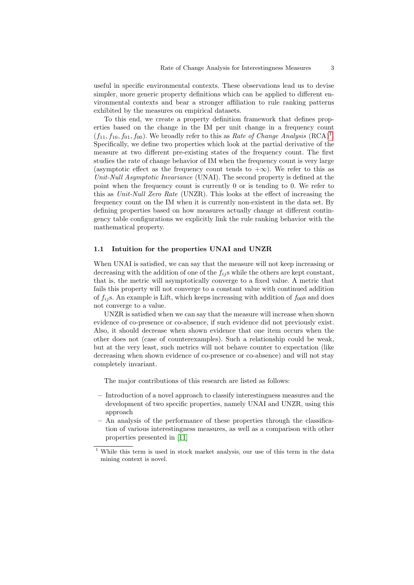useful in specific environmental contexts. These observations lead us to devise simpler, more generic property definitions which can be applied to different environmental contexts and bear a stronger affiliation to rule ranking patterns exhibited by the measures on empirical datasets.

To this end, we create a property definition framework that defines properties based on the change in the IM per unit change in a frequency count  $(f_{11}, f_{10}, f_{01}, f_{00})$  $(f_{11}, f_{10}, f_{01}, f_{00})$  $(f_{11}, f_{10}, f_{01}, f_{00})$ . We broadly refer to this as Rate of Change Analysis (RCA)<sup>1</sup>. Specifically, we define two properties which look at the partial derivative of the measure at two different pre-existing states of the frequency count. The first studies the rate of change behavior of IM when the frequency count is very large (asymptotic effect as the frequency count tends to  $+\infty$ ). We refer to this as Unit-Null Asymptotic Invariance (UNAI). The second property is defined at the point when the frequency count is currently 0 or is tending to 0. We refer to this as Unit-Null Zero Rate (UNZR). This looks at the effect of increasing the frequency count on the IM when it is currently non-existent in the data set. By defining properties based on how measures actually change at different contingency table configurations we explicitly link the rule ranking behavior with the mathematical property.

### 1.1 Intuition for the properties UNAI and UNZR

When UNAI is satisfied, we can say that the measure will not keep increasing or decreasing with the addition of one of the  $f_{ij}$ s while the others are kept constant, that is, the metric will asymptotically converge to a fixed value. A metric that fails this property will not converge to a constant value with continued addition of  $f_{ij}$ s. An example is Lift, which keeps increasing with addition of  $f_{00}$ s and does not converge to a value.

UNZR is satisfied when we can say that the measure will increase when shown evidence of co-presence or co-absence, if such evidence did not previously exist. Also, it should decrease when shown evidence that one item occurs when the other does not (case of counterexamples). Such a relationship could be weak, but at the very least, such metrics will not behave counter to expectation (like decreasing when shown evidence of co-presence or co-absence) and will not stay completely invariant.

The major contributions of this research are listed as follows:

- Introduction of a novel approach to classify interestingness measures and the development of two specific properties, namely UNAI and UNZR, using this approach
- An analysis of the performance of these properties through the classification of various interestingness measures, as well as a comparison with other properties presented in [\[11\]](#page-17-0)

<span id="page-2-0"></span> $1$  While this term is used in stock market analysis, our use of this term in the data mining context is novel.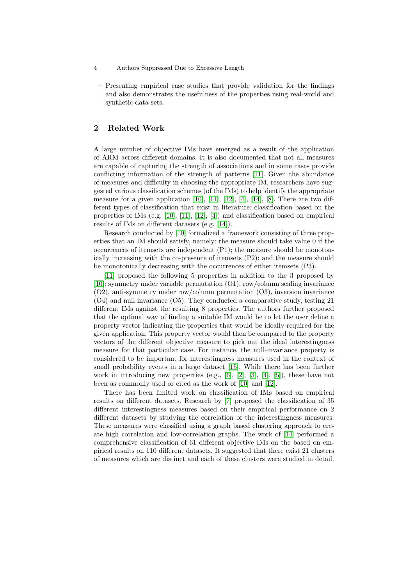- 4 Authors Suppressed Due to Excessive Length
	- Presenting empirical case studies that provide validation for the findings and also demonstrates the usefulness of the properties using real-world and synthetic data sets.

## 2 Related Work

A large number of objective IMs have emerged as a result of the application of ARM across different domains. It is also documented that not all measures are capable of capturing the strength of associations and in some cases provide conflicting information of the strength of patterns [\[11\]](#page-17-0). Given the abundance of measures and difficulty in choosing the appropriate IM, researchers have suggested various classification schemes (of the IMs) to help identify the appropriate measure for a given application  $[10]$ ,  $[11]$ ,  $[12]$ ,  $[4]$ ,  $[14]$ ,  $[8]$ . There are two different types of classification that exist in literature: classification based on the properties of IMs (e.g. [\[10\]](#page-16-1), [\[11\]](#page-17-0), [\[12\]](#page-17-2), [\[4\]](#page-16-2)) and classification based on empirical results of IMs on different datasets (e.g. [\[14\]](#page-17-1)).

Research conducted by [\[10\]](#page-16-1) formalized a framework consisting of three properties that an IM should satisfy, namely: the measure should take value 0 if the occurrences of itemsets are independent (P1); the measure should be monotonically increasing with the co-presence of itemsets (P2); and the measure should be monotonically decreasing with the occurrences of either itemsets (P3).

[\[11\]](#page-17-0) proposed the following 5 properties in addition to the 3 proposed by [\[10\]](#page-16-1): symmetry under variable permutation (O1), row/column scaling invariance (O2), anti-symmetry under row/column permutation (O3), inversion invariance (O4) and null invariance (O5). They conducted a comparative study, testing 21 different IMs against the resulting 8 properties. The authors further proposed that the optimal way of finding a suitable IM would be to let the user define a property vector indicating the properties that would be ideally required for the given application. This property vector would then be compared to the property vectors of the different objective measure to pick out the ideal interestingness measure for that particular case. For instance, the null-invariance property is considered to be important for interestingness measures used in the context of small probability events in a large dataset [\[15\]](#page-17-3). While there has been further work in introducing new properties  $(e.g., [6], [2], [3], [4], [5])$  $(e.g., [6], [2], [3], [4], [5])$  $(e.g., [6], [2], [3], [4], [5])$  $(e.g., [6], [2], [3], [4], [5])$  $(e.g., [6], [2], [3], [4], [5])$  $(e.g., [6], [2], [3], [4], [5])$  $(e.g., [6], [2], [3], [4], [5])$  $(e.g., [6], [2], [3], [4], [5])$  $(e.g., [6], [2], [3], [4], [5])$  $(e.g., [6], [2], [3], [4], [5])$  $(e.g., [6], [2], [3], [4], [5])$ , these have not been as commonly used or cited as the work of [\[10\]](#page-16-1) and [\[12\]](#page-17-2).

There has been limited work on classification of IMs based on empirical results on different datasets. Research by [\[7\]](#page-16-8) proposed the classification of 35 different interestingness measures based on their empirical performance on 2 different datasets by studying the correlation of the interestingness measures. These measures were classified using a graph based clustering approach to create high correlation and low-correlation graphs. The work of [\[14\]](#page-17-1) performed a comprehensive classification of 61 different objective IMs on the based on empirical results on 110 different datasets. It suggested that there exist 21 clusters of measures which are distinct and each of these clusters were studied in detail.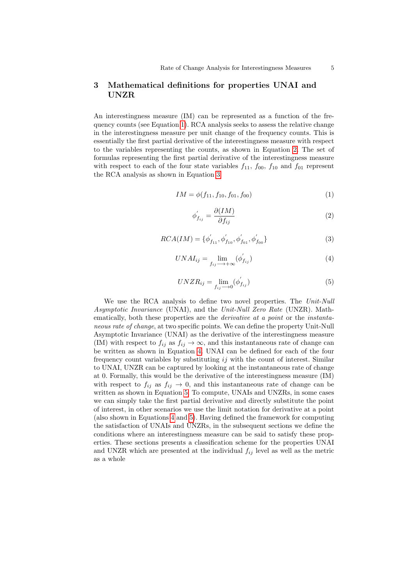## <span id="page-4-5"></span>3 Mathematical definitions for properties UNAI and UNZR

An interestingness measure (IM) can be represented as a function of the frequency counts (see Equation [1\)](#page-4-0). RCA analysis seeks to assess the relative change in the interestingness measure per unit change of the frequency counts. This is essentially the first partial derivative of the interestingness measure with respect to the variables representing the counts, as shown in Equation [2.](#page-4-1) The set of formulas representing the first partial derivative of the interestingness measure with respect to each of the four state variables  $f_{11}$ ,  $f_{00}$ ,  $f_{10}$  and  $f_{01}$  represent the RCA analysis as shown in Equation [3.](#page-4-2)

<span id="page-4-0"></span>
$$
IM = \phi(f_{11}, f_{10}, f_{01}, f_{00})
$$
\n<sup>(1)</sup>

<span id="page-4-1"></span>
$$
\phi'_{f_{ij}} = \frac{\partial (IM)}{\partial f_{ij}} \tag{2}
$$

<span id="page-4-2"></span>
$$
RCA(IM) = {\phi'_{f_{11}}, \phi'_{f_{10}}, \phi'_{f_{01}}, \phi'_{f_{00}}}
$$
\n(3)

<span id="page-4-3"></span>
$$
UNAI_{ij} = \lim_{f_{ij} \to +\infty} (\phi'_{f_{ij}})
$$
\n<sup>(4)</sup>

<span id="page-4-4"></span>
$$
UNZR_{ij} = \lim_{f_{ij} \to 0} (\phi'_{f_{ij}}) \tag{5}
$$

We use the RCA analysis to define two novel properties. The Unit-Null Asymptotic Invariance (UNAI), and the Unit-Null Zero Rate (UNZR). Mathematically, both these properties are the *derivative at a point* or the *instanta*neous rate of change, at two specific points. We can define the property Unit-Null Asymptotic Invariance (UNAI) as the derivative of the interestingness measure (IM) with respect to  $f_{ij}$  as  $f_{ij} \to \infty$ , and this instantaneous rate of change can be written as shown in Equation [4.](#page-4-3) UNAI can be defined for each of the four frequency count variables by substituting ij with the count of interest. Similar to UNAI, UNZR can be captured by looking at the instantaneous rate of change at 0. Formally, this would be the derivative of the interestingness measure (IM) with respect to  $f_{ij}$  as  $f_{ij} \rightarrow 0$ , and this instantaneous rate of change can be written as shown in Equation [5.](#page-4-4) To compute, UNAIs and UNZRs, in some cases we can simply take the first partial derivative and directly substitute the point of interest, in other scenarios we use the limit notation for derivative at a point (also shown in Equations [4](#page-4-3) and [5\)](#page-4-4). Having defined the framework for computing the satisfaction of UNAIs and UNZRs, in the subsequent sections we define the conditions where an interestingness measure can be said to satisfy these properties. These sections presents a classification scheme for the properties UNAI and UNZR which are presented at the individual  $f_{ij}$  level as well as the metric as a whole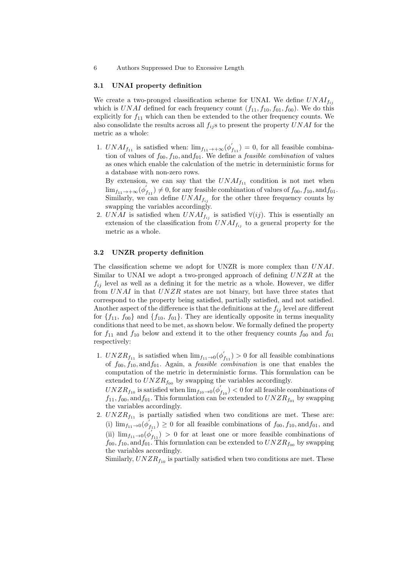### 3.1 UNAI property definition

We create a two-pronged classification scheme for UNAI. We define  $UNAI_{f_{ij}}$ which is UNAI defined for each frequency count  $(f_{11}, f_{10}, f_{01}, f_{00})$ . We do this explicitly for  $f_{11}$  which can then be extended to the other frequency counts. We also consolidate the results across all  $f_{ij}$ s to present the property UNAI for the metric as a whole:

1.  $UNAI_{f_{11}}$  is satisfied when:  $\lim_{f_{11} \to +\infty} (\phi'_{f_{11}}) = 0$ , for all feasible combination of values of  $f_{00}$ ,  $f_{10}$ , and  $f_{01}$ . We define a *feasible combination* of values as ones which enable the calculation of the metric in deterministic forms for a database with non-zero rows.

By extension, we can say that the  $UNAI_{f_{11}}$  condition is not met when  $\lim_{f_{11}\to+\infty}(\phi'_{f_{11}})\neq0$ , for any feasible combination of values of  $f_{00},f_{10},\text{and}f_{01}$ . Similarly, we can define  $UNAI_{f_{ij}}$  for the other three frequency counts by swapping the variables accordingly.

2. UNAI is satisfied when  $UNAI_{f_{ij}}$  is satisfied  $\forall (ij)$ . This is essentially an extension of the classification from  $UNAI_{f_{ij}}$  to a general property for the metric as a whole.

#### 3.2 UNZR property definition

The classification scheme we adopt for UNZR is more complex than UNAI. Similar to UNAI we adopt a two-pronged approach of defining  $UNZR$  at the  $f_{ij}$  level as well as a defining it for the metric as a whole. However, we differ from UNAI in that UNZR states are not binary, but have three states that correspond to the property being satisfied, partially satisfied, and not satisfied. Another aspect of the difference is that the definitions at the  $f_{ij}$  level are different for  ${f_{11}, f_{00}}$  and  ${f_{10}, f_{01}}$ . They are identically opposite in terms inequality conditions that need to be met, as shown below. We formally defined the property for  $f_{11}$  and  $f_{10}$  below and extend it to the other frequency counts  $f_{00}$  and  $f_{01}$ respectively:

1.  $UNZR<sub>f11</sub>$  is satisfied when  $\lim_{f11 \to 0} (\phi'_{f11}) > 0$  for all feasible combinations of  $f_{00}$ ,  $f_{10}$ , and  $f_{01}$ . Again, a *feasible combination* is one that enables the computation of the metric in deterministic forms. This formulation can be extended to  $UNZR<sub>f</sub>_{00}$  by swapping the variables accordingly.

 $UNZR_{f_{10}}$  is satisfied when  $\lim_{f_{10}\to 0} (\phi^{'}_{f_{10}})<0$  for all feasible combinations of  $f_{11}, f_{00}, \text{and } f_{01}$ . This formulation can be extended to  $UNZR_{f_{01}}$  by swapping the variables accordingly.

2.  $UNZR<sub>f<sub>11</sub></sub>$  is partially satisfied when two conditions are met. These are: (i)  $\lim_{f_{11}\to 0} (\phi'_{f_{11}}) \geq 0$  for all feasible combinations of  $f_{00}, f_{10}, \text{and } f_{01}$ , and (ii)  $\lim_{f_{11}\to 0}(\phi'_{f_{11}}) > 0$  for at least one or more feasible combinations of  $f_{00}, f_{10}, \text{and } f_{01}$ . This formulation can be extended to  $UNZR_{f_{00}}$  by swapping the variables accordingly.

Similarly,  $UNZR<sub>f10</sub>$  is partially satisfied when two conditions are met. These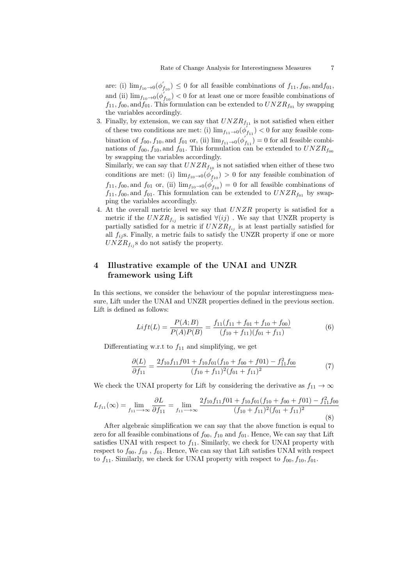are: (i)  $\lim_{f_{10}\to 0} (\phi'_{f_{10}}) \leq 0$  for all feasible combinations of  $f_{11}, f_{00}, \text{and} f_{01}$ , and (ii)  $\lim_{f_{10}\to 0} (\phi'_{f_{10}})$  < 0 for at least one or more feasible combinations of  $f_{11}$ ,  $f_{00}$ , and  $f_{01}$ . This formulation can be extended to  $UNZR<sub>f_{01}</sub>$  by swapping the variables accordingly.

3. Finally, by extension, we can say that  $UNZR<sub>f11</sub>$  is not satisfied when either of these two conditions are met: (i)  $\lim_{f_{11} \to 0} (\phi'_{f_{11}}) < 0$  for any feasible combination of  $f_{00}$ ,  $f_{10}$ , and  $f_{01}$  or, (ii)  $\lim_{f_{11}\to 0}(\phi_{f_{11}}^{'})=0$  for all feasible combinations of  $f_{00}, f_{10}$ , and  $f_{01}$ . This formulation can be extended to  $UNZR<sub>f00</sub>$ by swapping the variables accordingly. Similarly, we can say that  $UNZR<sub>f10</sub>$  is not satisfied when either of these two conditions are met: (i)  $\lim_{f_{10}\to 0} (\phi'_{f_{10}}) > 0$  for any feasible combination of  $f_{11}, f_{00}$ , and  $f_{01}$  or, (ii)  $\lim_{f_{10}\to 0} (\phi'_{f_{10}}) = 0$  for all feasible combinations of

 $f_{11}, f_{00}$ , and  $f_{01}$ . This formulation can be extended to  $UNZR<sub>f01</sub>$  by swapping the variables accordingly.

4. At the overall metric level we say that  $UNZR$  property is satisfied for a metric if the  $UNZR_{f_{ij}}$  is satisfied  $\forall (ij)$  . We say that UNZR property is partially satisfied for a metric if  $UNZR<sub>f_{ij}</sub>$  is at least partially satisfied for all  $f_{ij}$ s. Finally, a metric fails to satisfy the UNZR property if one or more  $UNZR<sub>f<sub>ij</sub></sub>$  s do not satisfy the property.

## 4 Illustrative example of the UNAI and UNZR framework using Lift

In this sections, we consider the behaviour of the popular interestingness measure, Lift under the UNAI and UNZR properties defined in the previous section. Lift is defined as follows:

$$
Lift(L) = \frac{P(A;B)}{P(A)P(B)} = \frac{f_{11}(f_{11} + f_{01} + f_{10} + f_{00})}{(f_{10} + f_{11})(f_{01} + f_{11})}
$$
(6)

Differentiating w.r.t to  $f_{11}$  and simplifying, we get

$$
\frac{\partial (L)}{\partial f_{11}} = \frac{2f_{10}f_{11}f_{01} + f_{10}f_{01}(f_{10} + f_{00} + f_{01}) - f_{11}^2 f_{00}}{(f_{10} + f_{11})^2 (f_{01} + f_{11})^2}
$$
(7)

We check the UNAI property for Lift by considering the derivative as  $f_{11} \rightarrow \infty$ 

$$
L_{f_{11}}(\infty) = \lim_{f_{11} \to \infty} \frac{\partial L}{\partial f_{11}} = \lim_{f_{11} \to \infty} \frac{2f_{10}f_{11}f_{01} + f_{10}f_{01}(f_{10} + f_{00} + f_{01}) - f_{11}^2 f_{00}}{(f_{10} + f_{11})^2 (f_{01} + f_{11})^2}
$$
(8)

After algebraic simplification we can say that the above function is equal to zero for all feasible combinations of  $f_{00}$ ,  $f_{10}$  and  $f_{01}$ . Hence, We can say that Lift satisfies UNAI with respect to  $f_{11}$ . Similarly, we check for UNAI property with respect to  $f_{00}$ ,  $f_{10}$ ,  $f_{01}$ . Hence, We can say that Lift satisfies UNAI with respect to  $f_{11}$ . Similarly, we check for UNAI property with respect to  $f_{00}, f_{10}, f_{01}$ .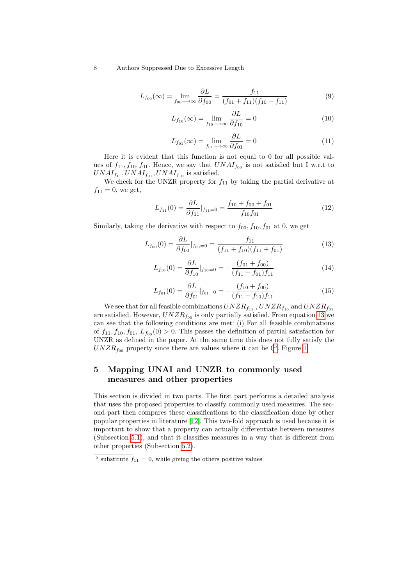$$
L_{f_{00}}(\infty) = \lim_{f_{00} \to \infty} \frac{\partial L}{\partial f_{00}} = \frac{f_{11}}{(f_{01} + f_{11})(f_{10} + f_{11})}
$$
(9)

$$
L_{f_{10}}(\infty) = \lim_{f_{10} \to \infty} \frac{\partial L}{\partial f_{10}} = 0
$$
\n(10)

$$
L_{f_{01}}(\infty) = \lim_{f_{01} \to \infty} \frac{\partial L}{\partial f_{01}} = 0
$$
\n(11)

Here it is evident that this function is not equal to 0 for all possible values of  $f_{11}, f_{10}, f_{01}$ . Hence, we say that  $UNAI_{f_{00}}$  is not satisfied but I w.r.t to  $UNAI<sub>f11</sub>, UNAI<sub>f01</sub>, UNAI<sub>f10</sub>$  is satisfied.

We check for the UNZR property for  $f_{11}$  by taking the partial derivative at  $f_{11} = 0$ , we get,

$$
L_{f_{11}}(0) = \frac{\partial L}{\partial f_{11}}|_{f_{11}=0} = \frac{f_{10} + f_{00} + f_{01}}{f_{10}f_{01}}
$$
(12)

Similarly, taking the derivative with respect to  $f_{00}$ ,  $f_{10}$ ,  $f_{01}$  at 0, we get

<span id="page-7-0"></span>
$$
L_{f_{00}}(0) = \frac{\partial L}{\partial f_{00}}|_{f_{00}=0} = \frac{f_{11}}{(f_{11} + f_{10})(f_{11} + f_{01})}
$$
(13)

$$
L_{f_{10}}(0) = \frac{\partial L}{\partial f_{10}}|_{f_{10}=0} = -\frac{(f_{01} + f_{00})}{(f_{11} + f_{01})f_{11}}\tag{14}
$$

$$
L_{f_{01}}(0) = \frac{\partial L}{\partial f_{01}}|_{f_{01}=0} = -\frac{(f_{10} + f_{00})}{(f_{11} + f_{10})f_{11}}
$$
(15)

We see that for all feasible combinations  $UNZR_{f_{11}}$  ,  $UNZR_{f_{10}}$  and  $UNZR_{f_{01}}$ are satisfied. However,  $UNZR_{f_{00}}$  is only partially satisfied. From equation [13](#page-7-0) we can see that the following conditions are met: (i) For all feasible combinations of  $f_{11}, f_{10}, f_{01}, L_{f_{00}}(0) > 0$ . This passes the definition of partial satisfaction for UNZR as defined in the paper. At the same time this does not fully satisfy the  $UNZR<sub>f</sub>$ <sub>00</sub> property since there are values where it can be  $0<sup>5</sup>$  $0<sup>5</sup>$  $0<sup>5</sup>$ . Figure [1](#page-8-0)

## 5 Mapping UNAI and UNZR to commonly used measures and other properties

This section is divided in two parts. The first part performs a detailed analysis that uses the proposed properties to classify commonly used measures. The second part then compares these classifications to the classification done by other popular properties in literature [\[12\]](#page-17-2). This two-fold approach is used because it is important to show that a property can actually differentiate between measures (Subsection [5.1\)](#page-8-1), and that it classifies measures in a way that is different from other properties (Subsection [5.2\)](#page-10-0).

<span id="page-7-1"></span><sup>&</sup>lt;sup>5</sup> substitute  $f_{11} = 0$ , while giving the others positive values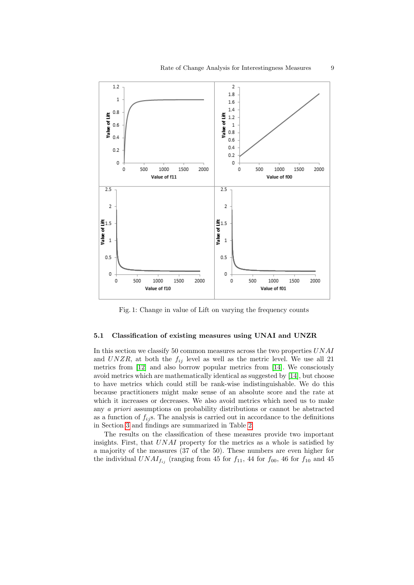<span id="page-8-0"></span>

Fig. 1: Change in value of Lift on varying the frequency counts

### <span id="page-8-1"></span>5.1 Classification of existing measures using UNAI and UNZR

In this section we classify 50 common measures across the two properties UNAI and  $UNZR$ , at both the  $f_{ij}$  level as well as the metric level. We use all 21 metrics from [\[12\]](#page-17-2) and also borrow popular metrics from [\[14\]](#page-17-1). We consciously avoid metrics which are mathematically identical as suggested by [\[14\]](#page-17-1), but choose to have metrics which could still be rank-wise indistinguishable. We do this because practitioners might make sense of an absolute score and the rate at which it increases or decreases. We also avoid metrics which need us to make any a priori assumptions on probability distributions or cannot be abstracted as a function of  $f_{ij}$ s. The analysis is carried out in accordance to the definitions in Section [3](#page-4-5) and findings are summarized in Table [2.](#page-9-0)

The results on the classification of these measures provide two important insights. First, that UNAI property for the metrics as a whole is satisfied by a majority of the measures (37 of the 50). These numbers are even higher for the individual  $UNAI_{f_{ij}}$  (ranging from 45 for  $f_{11}$ , 44 for  $f_{00}$ , 46 for  $f_{10}$  and 45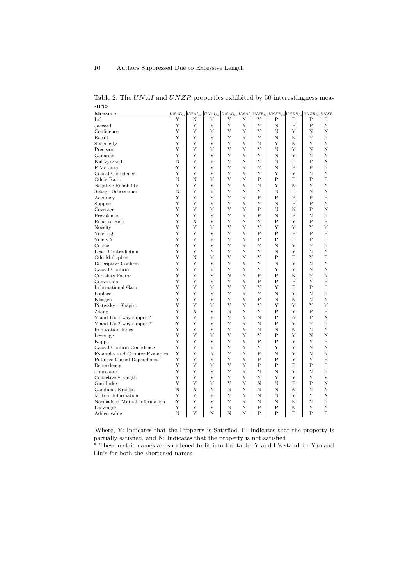| тисазите                      |   |   | $U N A I_{f_{11}}   U N A I_{f_{00}}   U N A I_{f_{10}}   U N A I_{f_{01}}   U N A I   U N A I_{f_{11}}   U N a R_{f_{11}}   U N a R_{f_{00}}   U N a R_{f_{10}}   U N a R_{f_{01}}   U N a I_{f_{11}}   U N a I_{f_{12}}   U N a I_{f_{13}}   U N a I_{f_{14}}   U N a I_{f_{15}}   U N a I_{f_{16}}   U N a I_{f_{17}}   U N a I_{f_{18}}   U N a I_{f_{19}}   U N a I_{f_{10}}   U N a I_{f$ |   |   |                |              |              |                |   |
|-------------------------------|---|---|-------------------------------------------------------------------------------------------------------------------------------------------------------------------------------------------------------------------------------------------------------------------------------------------------------------------------------------------------------------------------------------------------|---|---|----------------|--------------|--------------|----------------|---|
| Lift                          | Y | Ν | Υ                                                                                                                                                                                                                                                                                                                                                                                               | Υ | Ν | Υ              | $\mathbf P$  | $\mathbf P$  | $\mathbf P$    | Ρ |
| Jaccard                       | Y | Y | Y                                                                                                                                                                                                                                                                                                                                                                                               | Υ | Y | Y              | N            | $\mathbf P$  | $\mathbf P$    | Ν |
| Confidence                    | Υ | Υ | Υ                                                                                                                                                                                                                                                                                                                                                                                               | Υ | Υ | Υ              | Ν            | Υ            | Ν              | Ν |
| Recall                        | Υ | Y | Υ                                                                                                                                                                                                                                                                                                                                                                                               | Y | Y | Υ              | Ν            | Ν            | Y              | Ν |
| Specificity                   | Υ | Υ | Υ                                                                                                                                                                                                                                                                                                                                                                                               | Υ | Υ | Ν              | Υ            | Ν            | Υ              | Ν |
| Precision                     | Υ | Υ | Υ                                                                                                                                                                                                                                                                                                                                                                                               | Υ | Υ | Υ              | N            | Υ            | Ν              | Ν |
| Ganascia                      | Υ | Υ | Υ                                                                                                                                                                                                                                                                                                                                                                                               | Υ | Υ | Υ              | Ν            | Υ            | Ν              | Ν |
| Kulczynski-1                  | N | Y | Y                                                                                                                                                                                                                                                                                                                                                                                               | Y | Ν | Υ              | N            | $\mathbf P$  | P              | N |
| F-Measure                     | Y | Υ | Υ                                                                                                                                                                                                                                                                                                                                                                                               | Υ | Υ | Υ              | N            | P            | P              | N |
| Causal Confidence             | Υ | Y | Y                                                                                                                                                                                                                                                                                                                                                                                               | Y | Y | Y              | Y            | Y            | Ν              | N |
| Odd's Ratio                   | N | N | Y                                                                                                                                                                                                                                                                                                                                                                                               | Y | N | $\overline{P}$ | $\mathsf{P}$ | $\mathsf{P}$ | $\overline{P}$ | P |
| Negative Reliability          | Y | Y | Y                                                                                                                                                                                                                                                                                                                                                                                               | Y | Y | N              | Υ            | N            | Y              | N |
| Sebag - Schoenauer            | N | Y | Y                                                                                                                                                                                                                                                                                                                                                                                               | Y | Ν | Y              | N            | $\mathbf P$  | Ν              | N |
| Accuracy                      | Y | Y | Y                                                                                                                                                                                                                                                                                                                                                                                               | Y | Y | $\overline{P}$ | $\mathsf{P}$ | P            | $\mathbf P$    | P |
| Support                       | Υ | Υ | Υ                                                                                                                                                                                                                                                                                                                                                                                               | Υ | Υ | Υ              | N            | P            | P              | N |
| Coverage                      | Υ | Y | Y                                                                                                                                                                                                                                                                                                                                                                                               | Υ | Y | $\mathbf P$    | Ν            | Ν            | $\mathbf P$    | N |
| Prevalence                    | Υ | Y | Y                                                                                                                                                                                                                                                                                                                                                                                               | Y | Y | $\mathbf P$    | N            | $\mathbf P$  | Ν              | N |
| Relative Risk                 | Υ | N | Υ                                                                                                                                                                                                                                                                                                                                                                                               | Υ | Ν | Υ              | P            | Υ            | Ρ              | P |
| Novelty                       | Υ | Υ | Υ                                                                                                                                                                                                                                                                                                                                                                                               | Y | Y | Υ              | Y            | Y            | Υ              | Υ |
| Yule's Q                      | Υ | Υ | Υ                                                                                                                                                                                                                                                                                                                                                                                               | Υ | Υ | $\mathbf P$    | $\mathbf{P}$ | $\mathbf P$  | $\mathbf P$    | P |
| Yule's Y                      | Υ | Y | Υ                                                                                                                                                                                                                                                                                                                                                                                               | Y | Υ | $\mathbf P$    | P            | P            | P              | P |
| Cosine                        | Υ | Y | Y                                                                                                                                                                                                                                                                                                                                                                                               | Y | Y | Υ              | N            | Y            | Υ              | N |
| Least Contradiction           | Y | Y | N                                                                                                                                                                                                                                                                                                                                                                                               | Y | Ν | Y              | N            | Y            | Ν              | N |
| Odd Multiplier                | Υ | N | Υ                                                                                                                                                                                                                                                                                                                                                                                               | Υ | Ν | Υ              | $\mathsf{P}$ | P            | Y              | P |
| Descriptive Confirm           | Υ | Y | Y                                                                                                                                                                                                                                                                                                                                                                                               | Y | Y | Υ              | N            | Y            | Ν              | N |
| Causal Confirm                | Y | Y | Y                                                                                                                                                                                                                                                                                                                                                                                               | Y | Y | Υ              | Y            | Y            | Ν              | N |
| Certainty Factor              | Y | Y | Υ                                                                                                                                                                                                                                                                                                                                                                                               | Ν | N | P              | P            | Ν            | Υ              | N |
| Conviction                    | Y | Y | Y                                                                                                                                                                                                                                                                                                                                                                                               | Y | Y | $\mathbf P$    | $\mathbf P$  | $\mathbf P$  | Y              | P |
| Informational Gain            | Y | Y | Y                                                                                                                                                                                                                                                                                                                                                                                               | Y | Y | Y              | Y            | $\mathbf P$  | $\mathbf P$    | P |
| Laplace                       | Υ | Υ | Υ                                                                                                                                                                                                                                                                                                                                                                                               | Υ | Υ | Υ              | N            | Υ            | Ν              | Ν |
| Klosgen                       | Y | Y | Y                                                                                                                                                                                                                                                                                                                                                                                               | Y | Y | $\mathbf P$    | N            | Ν            | Ν              | Ν |
| Piatetsky - Shapiro           | Υ | Υ | Υ                                                                                                                                                                                                                                                                                                                                                                                               | Υ | Υ | Υ              | Υ            | Υ            | Υ              | Υ |
| Zhang                         | Υ | Ν | Υ                                                                                                                                                                                                                                                                                                                                                                                               | Ν | Ν | Υ              | Ρ            | Υ            | Ρ              | Ρ |
| Y and L's 1-way support*      | Y | Υ | Υ                                                                                                                                                                                                                                                                                                                                                                                               | Υ | Υ | Ν              | P            | Ν            | P              | Ν |
| Y and L's 2-way support*      | Υ | Υ | Y                                                                                                                                                                                                                                                                                                                                                                                               | Y | Υ | Ν              | $\mathbf P$  | Y            | Υ              | Ν |
| Implication Index             | Υ | Υ | Υ                                                                                                                                                                                                                                                                                                                                                                                               | Υ | Υ | Ν              | Ν            | Ν            | Ν              | Ν |
| Leverage                      | Y | Y | Y                                                                                                                                                                                                                                                                                                                                                                                               | Y | Y | Y              | $\mathsf{P}$ | Y            | N              | N |
| Kappa                         | Y | Y | Y                                                                                                                                                                                                                                                                                                                                                                                               | Y | Y | $\overline{P}$ | P            | Y            | Υ              | P |
| Causal Confirm Confidence     | Y | Υ | Υ                                                                                                                                                                                                                                                                                                                                                                                               | Υ | Υ | Y              | Υ            | Y            | N              | Ν |
| Examples and Counter Examples | Y | Y | N                                                                                                                                                                                                                                                                                                                                                                                               | Y | N | P              | N            | Y            | N              | N |
| Putative Casual Dependency    | Υ | Y | Y                                                                                                                                                                                                                                                                                                                                                                                               | Y | Y | $\mathbf P$    | $\mathsf{P}$ | Y            | Y              | P |
| Dependency                    | Υ | Υ | Υ                                                                                                                                                                                                                                                                                                                                                                                               | Υ | Υ | $\mathbf P$    | P            | P            | Ρ              | P |
| J-measure                     | Y | Υ | Y                                                                                                                                                                                                                                                                                                                                                                                               | Y | Υ | N              | N            | Y            | Ν              | N |
| Collective Strength           | Υ | Y | Y                                                                                                                                                                                                                                                                                                                                                                                               | Y | Y | Υ              | Y            | Y            | Υ              | Υ |
| Gini Index                    | Υ | Υ | Υ                                                                                                                                                                                                                                                                                                                                                                                               | Υ | Υ | N              | N            | Ρ            | Ρ              | N |
| Goodman-Kruskal               | Ν | Ν | N                                                                                                                                                                                                                                                                                                                                                                                               | Ν | Ν | N              | N            | Ν            | Ν              | Ν |
| Mutual Information            | Υ | Υ | Υ                                                                                                                                                                                                                                                                                                                                                                                               | Υ | Υ | Ν              | Ν            | Υ            | Υ              | Ν |
| Normalized Mutual Information | Υ | Υ | Υ                                                                                                                                                                                                                                                                                                                                                                                               | Υ | Υ | N              | N            | Ν            | Ν              | N |
| Loevinger                     | Υ | Y | Υ                                                                                                                                                                                                                                                                                                                                                                                               | Ν | Ν | P              | $\mathsf{P}$ | N            | Y              | N |
| Added value                   | N | Y | N                                                                                                                                                                                                                                                                                                                                                                                               | N | N | P              | $\mathbf{P}$ | $\mathbf{P}$ | $\mathbf P$    | P |
|                               |   |   |                                                                                                                                                                                                                                                                                                                                                                                                 |   |   |                |              |              |                |   |

<span id="page-9-0"></span>Table 2: The  $UNAI$  and  $UNZR$  properties exhibited by 50 interestingness measures  $\frac{1}{11}$  UNAI $\frac{1}{100}$  UNAI $\frac{1}{100}$  UNAI $\frac{1}{100}$  UNAI $\frac{1}{100}$  UNZR<sub>fo</sub> UNZR<sub>fo</sub> UNZR<sub>fo</sub> UNZR<sup>for</sup> UNZR

Where, Y: Indicates that the Property is Satisfied, P: Indicates that the property is partially satisfied, and N: Indicates that the property is not satisfied

\* These metric names are shortened to fit into the table: Y and L's stand for Yao and Liu's for both the shortened names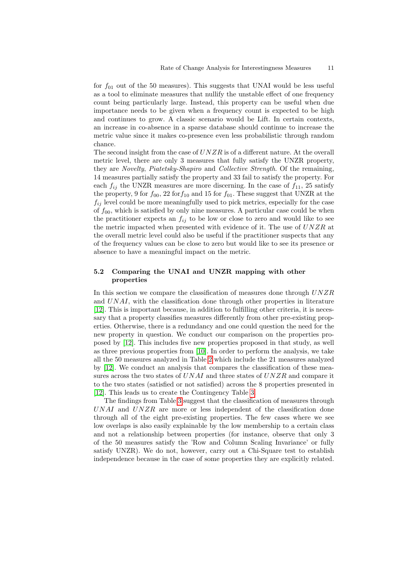for  $f_{01}$  out of the 50 measures). This suggests that UNAI would be less useful as a tool to eliminate measures that nullify the unstable effect of one frequency count being particularly large. Instead, this property can be useful when due importance needs to be given when a frequency count is expected to be high and continues to grow. A classic scenario would be Lift. In certain contexts, an increase in co-absence in a sparse database should continue to increase the metric value since it makes co-presence even less probabilistic through random chance.

The second insight from the case of  $UNZR$  is of a different nature. At the overall metric level, there are only 3 measures that fully satisfy the UNZR property, they are Novelty, Piatetsky-Shapiro and Collective Strength. Of the remaining, 14 measures partially satisfy the property and 33 fail to satisfy the property. For each  $f_{ij}$  the UNZR measures are more discerning. In the case of  $f_{11}$ , 25 satisfy the property, 9 for  $f_{00}$ , 22 for  $f_{10}$  and 15 for  $f_{01}$ . These suggest that UNZR at the  $f_{ij}$  level could be more meaningfully used to pick metrics, especially for the case of  $f_{00}$ , which is satisfied by only nine measures. A particular case could be when the practitioner expects an  $f_{ij}$  to be low or close to zero and would like to see the metric impacted when presented with evidence of it. The use of  $UNZR$  at the overall metric level could also be useful if the practitioner suspects that any of the frequency values can be close to zero but would like to see its presence or absence to have a meaningful impact on the metric.

## <span id="page-10-0"></span>5.2 Comparing the UNAI and UNZR mapping with other properties

In this section we compare the classification of measures done through UNZR and UNAI, with the classification done through other properties in literature [\[12\]](#page-17-2). This is important because, in addition to fulfilling other criteria, it is necessary that a property classifies measures differently from other pre-existing properties. Otherwise, there is a redundancy and one could question the need for the new property in question. We conduct our comparison on the properties proposed by [\[12\]](#page-17-2). This includes five new properties proposed in that study, as well as three previous properties from [\[10\]](#page-16-1). In order to perform the analysis, we take all the 50 measures analyzed in Table [2](#page-9-0) which include the 21 measures analyzed by [\[12\]](#page-17-2). We conduct an analysis that compares the classification of these measures across the two states of  $UNAI$  and three states of  $UNZR$  and compare it to the two states (satisfied or not satisfied) across the 8 properties presented in [\[12\]](#page-17-2). This leads us to create the Contingency Table [3.](#page-11-0)

The findings from Table [3](#page-11-0) suggest that the classification of measures through  $UNAI$  and  $UNZR$  are more or less independent of the classification done through all of the eight pre-existing properties. The few cases where we see low overlaps is also easily explainable by the low membership to a certain class and not a relationship between properties (for instance, observe that only 3 of the 50 measures satisfy the 'Row and Column Scaling Invariance' or fully satisfy UNZR). We do not, however, carry out a Chi-Square test to establish independence because in the case of some properties they are explicitly related.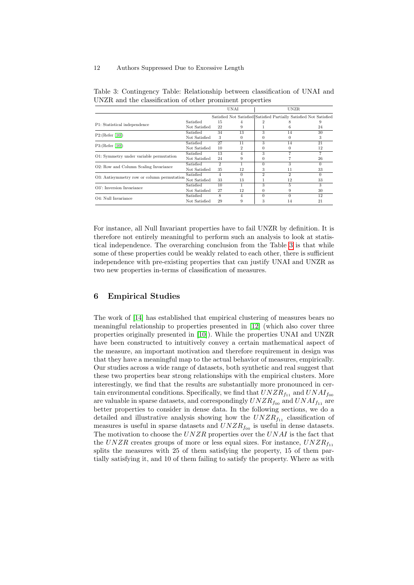|                                            |               |               | UNAI     |          | <b>UNZR</b>                                                         |          |  |
|--------------------------------------------|---------------|---------------|----------|----------|---------------------------------------------------------------------|----------|--|
|                                            |               |               |          |          | Satisfied Not Satisfied Satisfied Partially Satisfied Not Satisfied |          |  |
| P1: Statistical independence               | Satisfied     | 15            | 4        |          |                                                                     |          |  |
|                                            | Not Satisfied | 22            | 9        |          | 6                                                                   | 24       |  |
| $P2:$ (Refer [10])                         | Satisfied     | 34            | 13       | 3        | 14                                                                  | 30       |  |
|                                            | Not Satisfied | 3             | 0        |          | 0                                                                   | 3        |  |
| P3:(Refer [10])                            | Satisfied     | 27            | 11       | 3        | 14                                                                  | 21       |  |
|                                            | Not Satisfied | 10            | 2        | $^{(1)}$ | 0                                                                   | 12       |  |
| O1: Symmetry under variable permutation    | Satisfied     | 13            | 4        | 3        |                                                                     |          |  |
|                                            | Not Satisfied | 24            | 9        |          |                                                                     | 26       |  |
| O2: Row and Column Scaling Invariance      | Satisfied     | $\mathcal{D}$ |          | $\Omega$ | 3                                                                   | $\Omega$ |  |
|                                            | Not Satisfied | 35            | 12       | 3        | 11                                                                  | 33       |  |
| O3: Antisymmetry row or column permutation | Satisfied     | 4             | $\Omega$ | 2        | 2                                                                   | $\Omega$ |  |
|                                            | Not Satisfied | 33            | 13       |          | 12                                                                  | 33       |  |
| O3': Inversion Invariance                  | Satisfied     | 10            |          | 3        | 5                                                                   | 3        |  |
|                                            | Not Satisfied | 27            | 12       | $^{(1)}$ | 9                                                                   | 30       |  |
| O4: Null Invariance                        | Satisfied     | 8             | 4        | $\Omega$ |                                                                     | 12       |  |
|                                            | Not Satisfied | 29            | 9        | л        | 14                                                                  | 21       |  |
|                                            |               |               |          |          |                                                                     |          |  |

<span id="page-11-0"></span>Table 3: Contingency Table: Relationship between classification of UNAI and UNZR and the classification of other prominent properties

For instance, all Null Invariant properties have to fail UNZR by definition. It is therefore not entirely meaningful to perform such an analysis to look at statistical independence. The overarching conclusion from the Table [3](#page-11-0) is that while some of these properties could be weakly related to each other, there is sufficient independence with pre-existing properties that can justify UNAI and UNZR as two new properties in-terms of classification of measures.

## 6 Empirical Studies

The work of [\[14\]](#page-17-1) has established that empirical clustering of measures bears no meaningful relationship to properties presented in [\[12\]](#page-17-2) (which also cover three properties originally presented in [\[10\]](#page-16-1)). While the properties UNAI and UNZR have been constructed to intuitively convey a certain mathematical aspect of the measure, an important motivation and therefore requirement in design was that they have a meaningful map to the actual behavior of measures, empirically. Our studies across a wide range of datasets, both synthetic and real suggest that these two properties bear strong relationships with the empirical clusters. More interestingly, we find that the results are substantially more pronounced in certain environmental conditions. Specifically, we find that  $UNZR<sub>f11</sub>$  and  $UNAI<sub>f00</sub>$ are valuable in sparse datasets, and correspondingly  $UNZR<sub>f_{00}</sub>$  and  $UNAI<sub>f_{11}</sub>$  are better properties to consider in dense data. In the following sections, we do a detailed and illustrative analysis showing how the  $UNZR<sub>f11</sub>$  classification of measures is useful in sparse datasets and  $UNZR<sub>f00</sub>$  is useful in dense datasets. The motivation to choose the  $UNZR$  properties over the  $UNAI$  is the fact that the UNZR creates groups of more or less equal sizes. For instance,  $UNZR<sub>f11</sub>$ splits the measures with 25 of them satisfying the property, 15 of them partially satisfying it, and 10 of them failing to satisfy the property. Where as with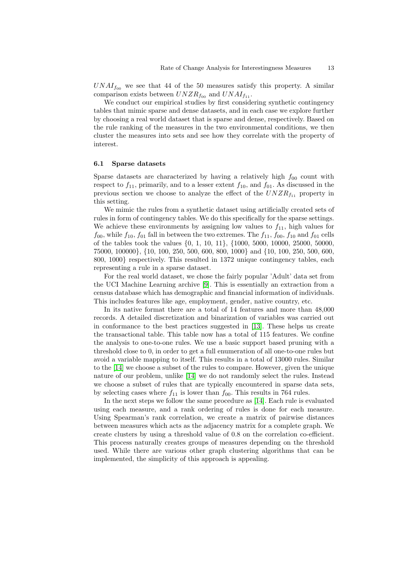$UNAI<sub>f</sub><sub>00</sub>$  we see that 44 of the 50 measures satisfy this property. A similar comparison exists between  $UNZR<sub>f_{00}</sub>$  and  $UNAI<sub>f_{11}</sub>$ .

We conduct our empirical studies by first considering synthetic contingency tables that mimic sparse and dense datasets, and in each case we explore further by choosing a real world dataset that is sparse and dense, respectively. Based on the rule ranking of the measures in the two environmental conditions, we then cluster the measures into sets and see how they correlate with the property of interest.

### 6.1 Sparse datasets

Sparse datasets are characterized by having a relatively high  $f_{00}$  count with respect to  $f_{11}$ , primarily, and to a lesser extent  $f_{10}$ , and  $f_{01}$ . As discussed in the previous section we choose to analyze the effect of the  $UNZR_{f_{11}}$  property in this setting.

We mimic the rules from a synthetic dataset using artificially created sets of rules in form of contingency tables. We do this specifically for the sparse settings. We achieve these environments by assigning low values to  $f_{11}$ , high values for  $f_{00}$ , while  $f_{10}$ ,  $f_{01}$  fall in between the two extremes. The  $f_{11}$ ,  $f_{00}$ ,  $f_{10}$  and  $f_{01}$  cells of the tables took the values {0, 1, 10, 11}, {1000, 5000, 10000, 25000, 50000, 75000, 100000}, {10, 100, 250, 500, 600, 800, 1000} and {10, 100, 250, 500, 600, 800, 1000} respectively. This resulted in 1372 unique contingency tables, each representing a rule in a sparse dataset.

For the real world dataset, we chose the fairly popular 'Adult' data set from the UCI Machine Learning archive [\[9\]](#page-16-9). This is essentially an extraction from a census database which has demographic and financial information of individuals. This includes features like age, employment, gender, native country, etc.

In its native format there are a total of 14 features and more than 48,000 records. A detailed discretization and binarization of variables was carried out in conformance to the best practices suggested in [\[13\]](#page-17-4). These helps us create the transactional table. This table now has a total of 115 features. We confine the analysis to one-to-one rules. We use a basic support based pruning with a threshold close to 0, in order to get a full enumeration of all one-to-one rules but avoid a variable mapping to itself. This results in a total of 13000 rules. Similar to the [\[14\]](#page-17-1) we choose a subset of the rules to compare. However, given the unique nature of our problem, unlike [\[14\]](#page-17-1) we do not randomly select the rules. Instead we choose a subset of rules that are typically encountered in sparse data sets, by selecting cases where  $f_{11}$  is lower than  $f_{00}$ . This results in 764 rules.

In the next steps we follow the same procedure as [\[14\]](#page-17-1). Each rule is evaluated using each measure, and a rank ordering of rules is done for each measure. Using Spearman's rank correlation, we create a matrix of pairwise distances between measures which acts as the adjacency matrix for a complete graph. We create clusters by using a threshold value of 0.8 on the correlation co-efficient. This process naturally creates groups of measures depending on the threshold used. While there are various other graph clustering algorithms that can be implemented, the simplicity of this approach is appealing.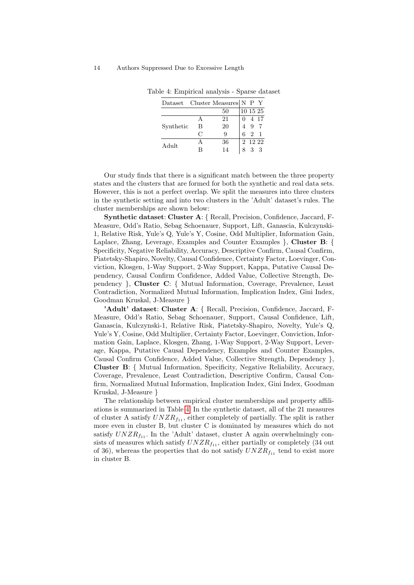| Dataset   |   | Cluster Measures $\vert N \vert P \vert Y$ |   |          |             |
|-----------|---|--------------------------------------------|---|----------|-------------|
|           |   | 50                                         |   | 10 15 25 |             |
| Synthetic |   | 21                                         |   | 4 17     |             |
|           | B | 20                                         |   |          |             |
|           | C | 9                                          | 6 |          | $2 \quad 1$ |
| Adult     |   | 36                                         |   | 2 12 22  |             |
|           |   | 14                                         |   |          |             |

<span id="page-13-0"></span>Table 4: Empirical analysis - Sparse dataset

Our study finds that there is a significant match between the three property states and the clusters that are formed for both the synthetic and real data sets. However, this is not a perfect overlap. We split the measures into three clusters in the synthetic setting and into two clusters in the 'Adult' dataset's rules. The cluster memberships are shown below:

Synthetic dataset: Cluster A: { Recall, Precision, Confidence, Jaccard, F-Measure, Odd's Ratio, Sebag Schoenauer, Support, Lift, Ganascia, Kulczynski-1, Relative Risk, Yule's Q, Yule's Y, Cosine, Odd Multiplier, Information Gain, Laplace, Zhang, Leverage, Examples and Counter Examples }, Cluster B: { Specificity, Negative Reliability, Accuracy, Descriptive Confirm, Causal Confirm, Piatetsky-Shapiro, Novelty, Causal Confidence, Certainty Factor, Loevinger, Conviction, Klosgen, 1-Way Support, 2-Way Support, Kappa, Putative Causal Dependency, Causal Confirm Confidence, Added Value, Collective Strength, Dependency }, Cluster C: { Mutual Information, Coverage, Prevalence, Least Contradiction, Normalized Mutual Information, Implication Index, Gini Index, Goodman Kruskal, J-Measure }

'Adult' dataset: Cluster A: { Recall, Precision, Confidence, Jaccard, F-Measure, Odd's Ratio, Sebag Schoenauer, Support, Causal Confidence, Lift, Ganascia, Kulczynski-1, Relative Risk, Piatetsky-Shapiro, Novelty, Yule's Q, Yule's Y, Cosine, Odd Multiplier, Certainty Factor, Loevinger, Conviction, Information Gain, Laplace, Klosgen, Zhang, 1-Way Support, 2-Way Support, Leverage, Kappa, Putative Causal Dependency, Examples and Counter Examples, Causal Confirm Confidence, Added Value, Collective Strength, Dependency }, Cluster B: { Mutual Information, Specificity, Negative Reliability, Accuracy, Coverage, Prevalence, Least Contradiction, Descriptive Confirm, Causal Confirm, Normalized Mutual Information, Implication Index, Gini Index, Goodman Kruskal, J-Measure }

The relationship between empirical cluster memberships and property affiliations is summarized in Table [4.](#page-13-0) In the synthetic dataset, all of the 21 measures of cluster A satisfy  $UNZR_{f_{11}}$ , either completely of partially. The split is rather more even in cluster B, but cluster C is dominated by measures which do not satisfy  $UNZR<sub>f11</sub>$ . In the 'Adult' dataset, cluster A again overwhelmingly consists of measures which satisfy  $UNZR_{f_{11}}$ , either partially or completely (34 out of 36), whereas the properties that do not satisfy  $UNZR_{f_{11}}$  tend to exist more in cluster B.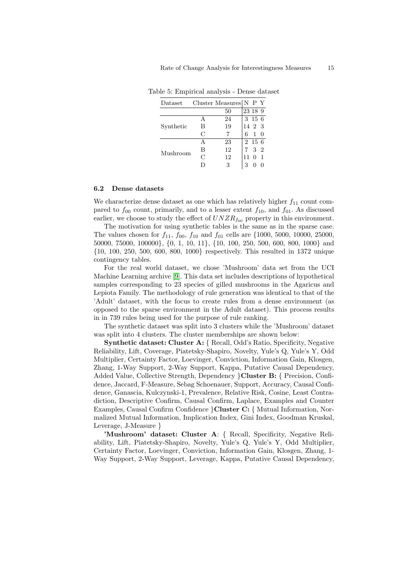| Dataset   |   | Cluster Measures $N$ P Y |   |         |                |
|-----------|---|--------------------------|---|---------|----------------|
|           |   | 50                       |   | 23 18 9 |                |
| Synthetic | А | 24                       |   | 3 15 6  |                |
|           | В | 19                       |   | 14 2 3  |                |
|           | C |                          | 6 |         |                |
| Mushroom  |   | 23                       |   | 2 15 6  |                |
|           | В | 12                       |   | 3       | $\overline{2}$ |
|           | C | 12                       |   |         | $\overline{1}$ |
|           |   | 3                        |   |         |                |

<span id="page-14-0"></span>Table 5: Empirical analysis - Dense dataset

### 6.2 Dense datasets

We characterize dense dataset as one which has relatively higher  $f_{11}$  count compared to  $f_{00}$  count, primarily, and to a lesser extent  $f_{10}$ , and  $f_{01}$ . As discussed earlier, we choose to study the effect of  $UNZR<sub>f</sub><sub>00</sub>$  property in this environment.

The motivation for using synthetic tables is the same as in the sparse case. The values chosen for  $f_{11}$ ,  $f_{00}$ ,  $f_{10}$  and  $f_{01}$  cells are {1000, 5000, 10000, 25000, 50000, 75000, 100000}, {0, 1, 10, 11}, {10, 100, 250, 500, 600, 800, 1000} and {10, 100, 250, 500, 600, 800, 1000} respectively. This resulted in 1372 unique contingency tables.

For the real world dataset, we chose 'Mushroom' data set from the UCI Machine Learning archive [\[9\]](#page-16-9). This data set includes descriptions of hypothetical samples corresponding to 23 species of gilled mushrooms in the Agaricus and Lepiota Family. The methodology of rule generation was identical to that of the 'Adult' dataset, with the focus to create rules from a dense environment (as opposed to the sparse environment in the Adult dataset). This process results in in 739 rules being used for the purpose of rule ranking.

The synthetic dataset was split into 3 clusters while the 'Mushroom' dataset was split into 4 clusters. The cluster memberships are shown below:

Synthetic dataset: Cluster A: { Recall, Odd's Ratio, Specificity, Negative Reliability, Lift, Coverage, Piatetsky-Shapiro, Novelty, Yule's Q, Yule's Y, Odd Multiplier, Certainty Factor, Loevinger, Conviction, Information Gain, Klosgen, Zhang, 1-Way Support, 2-Way Support, Kappa, Putative Causal Dependency, Added Value, Collective Strength, Dependency }Cluster B: { Precision, Confidence, Jaccard, F-Measure, Sebag Schoenauer, Support, Accuracy, Causal Confidence, Ganascia, Kulczynski-1, Prevalence, Relative Risk, Cosine, Least Contradiction, Descriptive Confirm, Causal Confirm, Laplace, Examples and Counter Examples, Causal Confirm Confidence }Cluster C: { Mutual Information, Normalized Mutual Information, Implication Index, Gini Index, Goodman Kruskal, Leverage, J-Measure }

'Mushroom' dataset: Cluster A: { Recall, Specificity, Negative Reliability, Lift, Piatetsky-Shapiro, Novelty, Yule's Q, Yule's Y, Odd Multiplier, Certainty Factor, Loevinger, Conviction, Information Gain, Klosgen, Zhang, 1- Way Support, 2-Way Support, Leverage, Kappa, Putative Causal Dependency,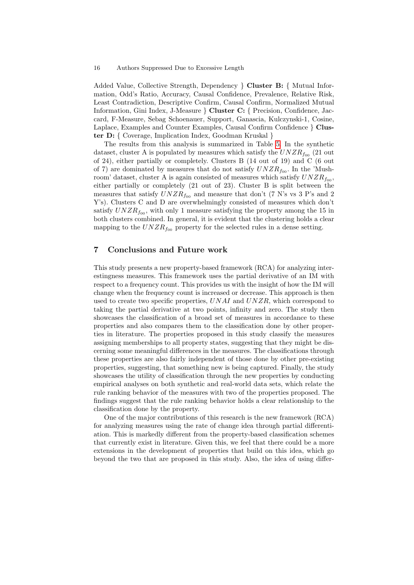Added Value, Collective Strength, Dependency } Cluster B: { Mutual Information, Odd's Ratio, Accuracy, Causal Confidence, Prevalence, Relative Risk, Least Contradiction, Descriptive Confirm, Causal Confirm, Normalized Mutual Information, Gini Index, J-Measure } Cluster C: { Precision, Confidence, Jaccard, F-Measure, Sebag Schoenauer, Support, Ganascia, Kulczynski-1, Cosine, Laplace, Examples and Counter Examples, Causal Confirm Confidence } Cluster D: { Coverage, Implication Index, Goodman Kruskal }

The results from this analysis is summarized in Table [5.](#page-14-0) In the synthetic dataset, cluster A is populated by measures which satisfy the  $UNZR<sub>f</sub>_{00}$  (21 out of 24), either partially or completely. Clusters B (14 out of 19) and C (6 out of 7) are dominated by measures that do not satisfy  $UNZR<sub>fo0</sub>$ . In the 'Mushroom' dataset, cluster A is again consisted of measures which satisfy  $UNZR<sub>f00</sub>$ , either partially or completely (21 out of 23). Cluster B is split between the measures that satisfy  $UNZR_{\text{foo}}$  and measure that don't (7 N's vs 3 P's and 2 Y's). Clusters C and D are overwhelmingly consisted of measures which don't satisfy  $UNZR<sub>f</sub>_{00}$ , with only 1 measure satisfying the property among the 15 in both clusters combined. In general, it is evident that the clustering holds a clear mapping to the  $UNZR<sub>f00</sub>$  property for the selected rules in a dense setting.

## 7 Conclusions and Future work

This study presents a new property-based framework (RCA) for analyzing interestingness measures. This framework uses the partial derivative of an IM with respect to a frequency count. This provides us with the insight of how the IM will change when the frequency count is increased or decrease. This approach is then used to create two specific properties,  $UNAI$  and  $UNZR$ , which correspond to taking the partial derivative at two points, infinity and zero. The study then showcases the classification of a broad set of measures in accordance to these properties and also compares them to the classification done by other properties in literature. The properties proposed in this study classify the measures assigning memberships to all property states, suggesting that they might be discerning some meaningful differences in the measures. The classifications through these properties are also fairly independent of those done by other pre-existing properties, suggesting, that something new is being captured. Finally, the study showcases the utility of classification through the new properties by conducting empirical analyses on both synthetic and real-world data sets, which relate the rule ranking behavior of the measures with two of the properties proposed. The findings suggest that the rule ranking behavior holds a clear relationship to the classification done by the property.

One of the major contributions of this research is the new framework (RCA) for analyzing measures using the rate of change idea through partial differentiation. This is markedly different from the property-based classification schemes that currently exist in literature. Given this, we feel that there could be a more extensions in the development of properties that build on this idea, which go beyond the two that are proposed in this study. Also, the idea of using differ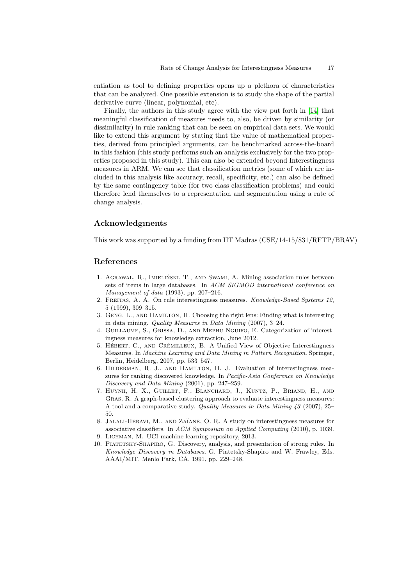entiation as tool to defining properties opens up a plethora of characteristics that can be analyzed. One possible extension is to study the shape of the partial derivative curve (linear, polynomial, etc).

Finally, the authors in this study agree with the view put forth in [\[14\]](#page-17-1) that meaningful classification of measures needs to, also, be driven by similarity (or dissimilarity) in rule ranking that can be seen on empirical data sets. We would like to extend this argument by stating that the value of mathematical properties, derived from principled arguments, can be benchmarked across-the-board in this fashion (this study performs such an analysis exclusively for the two properties proposed in this study). This can also be extended beyond Interestingness measures in ARM. We can see that classification metrics (some of which are included in this analysis like accuracy, recall, specificity, etc.) can also be defined by the same contingency table (for two class classification problems) and could therefore lend themselves to a representation and segmentation using a rate of change analysis.

## Acknowledgments

This work was supported by a funding from IIT Madras (CSE/14-15/831/RFTP/BRAV)

## References

- <span id="page-16-0"></span>1. AGRAWAL, R., IMIELIŃSKI, T., AND SWAMI, A. Mining association rules between sets of items in large databases. In ACM SIGMOD international conference on Management of data (1993), pp. 207–216.
- <span id="page-16-5"></span>2. Freitas, A. A. On rule interestingness measures. Knowledge-Based Systems 12, 5 (1999), 309–315.
- <span id="page-16-6"></span>3. Geng, L., and Hamilton, H. Choosing the right lens: Finding what is interesting in data mining. Quality Measures in Data Mining (2007), 3–24.
- <span id="page-16-2"></span>4. Guillaume, S., Grissa, D., and Mephu Nguifo, E. Categorization of interestingness measures for knowledge extraction, June 2012.
- <span id="page-16-7"></span>5. HÉBERT, C., AND CRÉMILLEUX, B. A Unified View of Objective Interestingness Measures. In Machine Learning and Data Mining in Pattern Recognition. Springer, Berlin, Heidelberg, 2007, pp. 533–547.
- <span id="page-16-4"></span>6. Hilderman, R. J., and Hamilton, H. J. Evaluation of interestingness measures for ranking discovered knowledge. In Pacific-Asia Conference on Knowledge Discovery and Data Mining (2001), pp. 247–259.
- <span id="page-16-8"></span>7. Huynh, H. X., Guillet, F., Blanchard, J., Kuntz, P., Briand, H., and Gras, R. A graph-based clustering approach to evaluate interestingness measures: A tool and a comparative study. Quality Measures in Data Mining 43 (2007), 25– 50.
- <span id="page-16-3"></span>8. JALALI-HERAVI, M., AND ZAÏANE, O. R. A study on interestingness measures for associative classifiers. In ACM Symposium on Applied Computing (2010), p. 1039.
- <span id="page-16-9"></span>9. Lichman, M. UCI machine learning repository, 2013.
- <span id="page-16-1"></span>10. Piatetsky-Shapiro, G. Discovery, analysis, and presentation of strong rules. In Knowledge Discovery in Databases, G. Piatetsky-Shapiro and W. Frawley, Eds. AAAI/MIT, Menlo Park, CA, 1991, pp. 229–248.